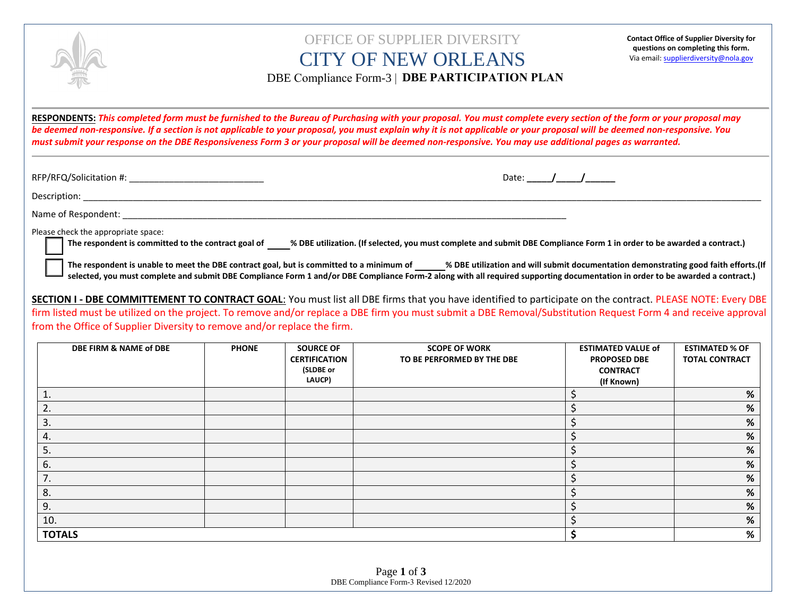

## CITY OF NEW ORLEANS OFFICE OF SUPPLIER DIVERSITY

**Contact Office of Supplier Diversity for questions on completing this form.**  Via email: supplierdiversity@nola.gov

**DBE Compliance Form-3 | DBE PARTICIPATION PLAN** 

be deemed non-responsive. If a section is not applicable to your proposal, you must explain why it is not applicable or your proposal will be deemed non-responsive. If a section is not applicable to your proposal why it is **RESPONDENTS:** *This completed form must be furnished to the Bureau of Purchasing with your proposal. You must complete every section of the form or your proposal may must submit your response on the DBE Responsiveness Form 3 or your proposal will be deemed non-responsive. You may use additional pages as warranted.* 

RFP/RFQ/Solicitation #: \_\_\_\_\_\_\_\_\_\_\_\_\_\_\_\_\_\_\_\_\_\_\_\_\_\_\_ Date: **\_\_\_\_\_/\_\_\_\_\_/\_\_\_\_\_\_**

Description: \_\_\_\_\_\_\_\_\_\_\_\_\_\_\_\_\_\_\_\_\_\_\_\_\_\_\_\_\_\_\_\_\_\_\_\_\_\_\_\_\_\_\_\_\_\_\_\_\_\_\_\_\_\_\_\_\_\_\_\_\_\_\_\_\_\_\_\_\_\_\_\_\_\_\_\_\_\_\_\_\_\_\_\_\_\_\_\_\_\_\_\_\_\_\_\_\_\_\_\_\_\_\_\_\_\_\_\_\_\_\_\_\_\_\_\_\_\_\_\_\_\_\_\_\_\_\_\_\_\_\_\_\_\_\_\_

Name of Respondent: \_\_\_\_\_\_\_\_\_\_\_\_\_\_\_\_\_\_\_\_\_\_\_\_\_\_\_\_\_\_\_\_\_\_\_\_\_\_\_\_\_\_\_\_\_\_\_\_\_\_\_\_\_\_\_\_\_\_\_\_\_\_\_\_\_\_\_\_\_\_\_\_\_\_\_\_\_\_\_\_\_\_\_\_\_\_\_\_\_

Please check the appropriate space:

**The respondent is committed to the contract goal of % DBE utilization. (If selected, you must complete and submit DBE Compliance Form 1 in order to be awarded a contract.)**

**The respondent is unable to meet the DBE contract goal, but is committed to a minimum of % DBE utilization and will submit documentation demonstrating good faith efforts.(If selected, you must complete and submit DBE Compliance Form 1 and/or DBE Compliance Form-2 along with all required supporting documentation in order to be awarded a contract.)**

**SECTION I - DBE COMMITTEMENT TO CONTRACT GOAL**: You must list all DBE firms that you have identified to participate on the contract. PLEASE NOTE: Every DBE firm listed must be utilized on the project. To remove and/or replace a DBE firm you must submit a DBE Removal/Substitution Request Form 4 and receive approval from the Office of Supplier Diversity to remove and/or replace the firm.

| DBE FIRM & NAME of DBE | <b>PHONE</b> | <b>SOURCE OF</b><br><b>CERTIFICATION</b><br>(SLDBE or<br>LAUCP) | <b>SCOPE OF WORK</b><br>TO BE PERFORMED BY THE DBE | <b>ESTIMATED VALUE of</b><br><b>PROPOSED DBE</b><br><b>CONTRACT</b><br>(If Known) | <b>ESTIMATED % OF</b><br><b>TOTAL CONTRACT</b> |
|------------------------|--------------|-----------------------------------------------------------------|----------------------------------------------------|-----------------------------------------------------------------------------------|------------------------------------------------|
|                        |              |                                                                 |                                                    |                                                                                   | %                                              |
| 2.                     |              |                                                                 |                                                    |                                                                                   | %                                              |
| 3.                     |              |                                                                 |                                                    |                                                                                   | %                                              |
| 4.                     |              |                                                                 |                                                    |                                                                                   | $\%$                                           |
| 5.                     |              |                                                                 |                                                    |                                                                                   | %                                              |
| 6.                     |              |                                                                 |                                                    |                                                                                   | %                                              |
| 7.                     |              |                                                                 |                                                    |                                                                                   | %                                              |
| 8.                     |              |                                                                 |                                                    |                                                                                   | $\%$                                           |
| 9.                     |              |                                                                 |                                                    |                                                                                   | %                                              |
| 10.                    |              |                                                                 |                                                    |                                                                                   | %                                              |
| <b>TOTALS</b>          |              |                                                                 |                                                    | %                                                                                 |                                                |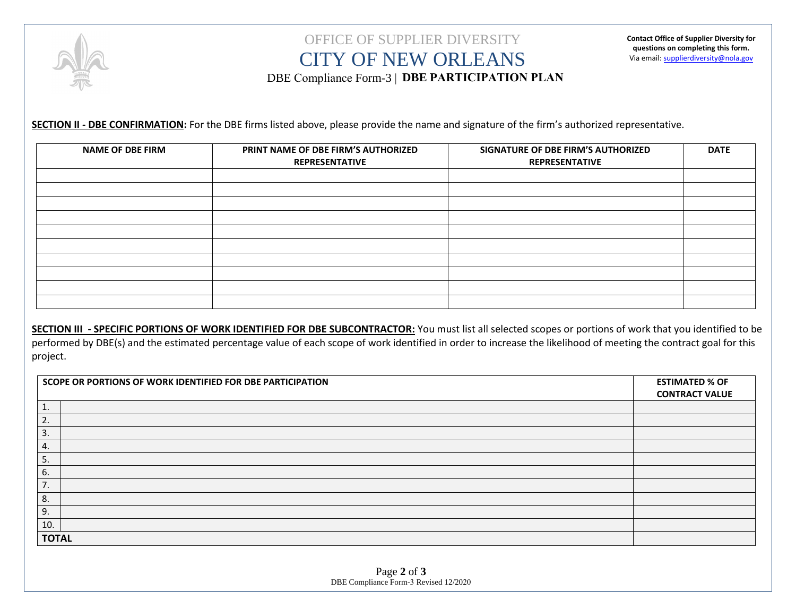

## CITY OF NEW ORLEANS OFFICE OF SUPPLIER DIVERSITY DBE Compliance Form-3 | **DBE PARTICIPATION PLAN**

**SECTION II - DBE CONFIRMATION:** For the DBE firms listed above, please provide the name and signature of the firm's authorized representative.

| PRINT NAME OF DBE FIRM'S AUTHORIZED<br><b>REPRESENTATIVE</b> | SIGNATURE OF DBE FIRM'S AUTHORIZED<br><b>REPRESENTATIVE</b> | <b>DATE</b> |
|--------------------------------------------------------------|-------------------------------------------------------------|-------------|
|                                                              |                                                             |             |
|                                                              |                                                             |             |
|                                                              |                                                             |             |
|                                                              |                                                             |             |
|                                                              |                                                             |             |
|                                                              |                                                             |             |
|                                                              |                                                             |             |
|                                                              |                                                             |             |
|                                                              |                                                             |             |

**SECTION III - SPECIFIC PORTIONS OF WORK IDENTIFIED FOR DBE SUBCONTRACTOR:** You must list all selected scopes or portions of work that you identified to be performed by DBE(s) and the estimated percentage value of each scope of work identified in order to increase the likelihood of meeting the contract goal for this project.

| SCOPE OR PORTIONS OF WORK IDENTIFIED FOR DBE PARTICIPATION | <b>ESTIMATED % OF</b><br><b>CONTRACT VALUE</b> |  |
|------------------------------------------------------------|------------------------------------------------|--|
| ∸.                                                         |                                                |  |
| 2.                                                         |                                                |  |
| 3.                                                         |                                                |  |
| 4.                                                         |                                                |  |
| 5.                                                         |                                                |  |
| 6.                                                         |                                                |  |
| 7.                                                         |                                                |  |
| 8.                                                         |                                                |  |
| 9.                                                         |                                                |  |
| 10.                                                        |                                                |  |
| <b>TOTAL</b>                                               |                                                |  |